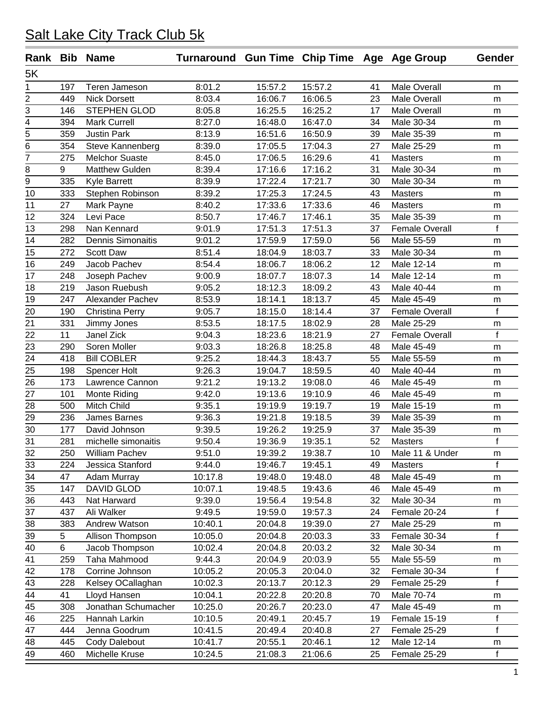| 5K<br>8:01.2<br>15:57.2<br>15:57.2<br>Teren Jameson<br><b>Male Overall</b><br>1<br>197<br>41<br>m<br>$\overline{2}$<br>8:03.4<br>16:06.5<br>23<br>449<br><b>Nick Dorsett</b><br>16:06.7<br><b>Male Overall</b><br>m<br>3<br>STEPHEN GLOD<br>8:05.8<br>16:25.5<br>16:25.2<br><b>Male Overall</b><br>146<br>17<br>m<br>$\overline{4}$<br>16:47.0<br>394<br><b>Mark Currell</b><br>8:27.0<br>16:48.0<br>Male 30-34<br>34<br>m<br>$\overline{5}$<br>16:50.9<br>359<br><b>Justin Park</b><br>8:13.9<br>16:51.6<br>39<br>Male 35-39<br>m<br>6<br>17:04.3<br>354<br>Steve Kannenberg<br>8:39.0<br>17:05.5<br>Male 25-29<br>27<br>m<br>7<br><b>Melchor Suaste</b><br>8:45.0<br>17:06.5<br>16:29.6<br>275<br>41<br><b>Masters</b><br>m<br>8<br>9<br><b>Matthew Gulden</b><br>8:39.4<br>17:16.6<br>17:16.2<br>31<br>Male 30-34<br>m<br>$\overline{9}$<br>17:21.7<br>335<br>8:39.9<br>17:22.4<br>30 <sup>2</sup><br><b>Kyle Barrett</b><br>Male 30-34<br>m<br>17:24.5<br>333<br>8:39.2<br>17:25.3<br>10<br>Stephen Robinson<br>43<br><b>Masters</b><br>m<br>11<br>17:33.6<br>27<br>8:40.2<br>17:33.6<br>46<br>Mark Payne<br><b>Masters</b><br>m<br>12<br>324<br>Levi Pace<br>8:50.7<br>17:46.7<br>17:46.1<br>35<br>Male 35-39<br>m<br>17:51.3<br>$\mathbf f$<br>13<br>298<br>Nan Kennard<br>9:01.9<br>17:51.3<br>37<br><b>Female Overall</b><br>14<br><b>Dennis Simonaitis</b><br>9:01.2<br>17:59.9<br>17:59.0<br>282<br>Male 55-59<br>56<br>m<br>15<br>8:51.4<br>18:03.7<br>33<br>272<br>Scott Daw<br>18:04.9<br>Male 30-34<br>m<br>16<br>8:54.4<br>Jacob Pachev<br>18:06.7<br>18:06.2<br>12<br>Male 12-14<br>249<br>${\sf m}$<br>18:07.3<br>17<br>248<br>9:00.9<br>18:07.7<br>14<br>Male 12-14<br>Joseph Pachev<br>m<br>18<br>9:05.2<br>18:09.2<br>219<br>Jason Ruebush<br>18:12.3<br>43<br>Male 40-44<br>m<br>19<br>247<br>8:53.9<br>18:14.1<br>18:13.7<br>45<br>Male 45-49<br>Alexander Pachev<br>m<br>20<br>f<br>190<br>9:05.7<br>18:15.0<br>18:14.4<br><b>Female Overall</b><br>Christina Perry<br>37<br>21<br>8:53.5<br>18:17.5<br>18:02.9<br>331<br>Jimmy Jones<br>Male 25-29<br>28<br>m<br>f<br>22<br>11<br><b>Janel Zick</b><br>9:04.3<br>18:23.6<br>18:21.9<br><b>Female Overall</b><br>27<br>23<br>18:25.8<br>290<br>Soren Moller<br>9:03.3<br>18:26.8<br>48<br>Male 45-49<br>m<br>24<br><b>Bill COBLER</b><br>9:25.2<br>18:43.7<br>418<br>18:44.3<br>55<br>Male 55-59<br>m<br>$\overline{25}$<br>9:26.3<br>19:04.7<br>18:59.5<br>198<br>Male 40-44<br>Spencer Holt<br>40<br>m<br>26<br>173<br>Lawrence Cannon<br>9:21.2<br>19:13.2<br>19:08.0<br>Male 45-49<br>46<br>m<br>27<br>101<br>Monte Riding<br>9:42.0<br>19:13.6<br>19:10.9<br>Male 45-49<br>46<br>m<br>28<br>Mitch Child<br>9:35.1<br>19:19.9<br>500<br>19:19.7<br>19<br>Male 15-19<br>m<br>29<br>9:36.3<br>19:21.8<br>236<br>James Barnes<br>19:18.5<br>39<br>Male 35-39<br>m<br>30<br>19:25.9<br>177<br>David Johnson<br>9:39.5<br>19:26.2<br>37<br>Male 35-39<br>m<br>f<br>31<br>9:50.4<br>52<br>281<br>michelle simonaitis<br>19:36.9<br>19:35.1<br><b>Masters</b><br>9:51.0<br>19:39.2<br>19:38.7<br>250<br>William Pachev<br>Male 11 & Under<br>32<br>10<br>m | Rank Bib Name |     |                  | Turnaround Gun Time Chip Time Age Age Group |         |         |    |                | Gender |
|--------------------------------------------------------------------------------------------------------------------------------------------------------------------------------------------------------------------------------------------------------------------------------------------------------------------------------------------------------------------------------------------------------------------------------------------------------------------------------------------------------------------------------------------------------------------------------------------------------------------------------------------------------------------------------------------------------------------------------------------------------------------------------------------------------------------------------------------------------------------------------------------------------------------------------------------------------------------------------------------------------------------------------------------------------------------------------------------------------------------------------------------------------------------------------------------------------------------------------------------------------------------------------------------------------------------------------------------------------------------------------------------------------------------------------------------------------------------------------------------------------------------------------------------------------------------------------------------------------------------------------------------------------------------------------------------------------------------------------------------------------------------------------------------------------------------------------------------------------------------------------------------------------------------------------------------------------------------------------------------------------------------------------------------------------------------------------------------------------------------------------------------------------------------------------------------------------------------------------------------------------------------------------------------------------------------------------------------------------------------------------------------------------------------------------------------------------------------------------------------------------------------------------------------------------------------------------------------------------------------------------------------------------------------------------------------------------------------------------------------------------------------------------------------------------------------------------------------------------------------------------------------------------------------------------------------------------------------------------------------------------------------------------------------------------------------------------------------------------------------------------|---------------|-----|------------------|---------------------------------------------|---------|---------|----|----------------|--------|
|                                                                                                                                                                                                                                                                                                                                                                                                                                                                                                                                                                                                                                                                                                                                                                                                                                                                                                                                                                                                                                                                                                                                                                                                                                                                                                                                                                                                                                                                                                                                                                                                                                                                                                                                                                                                                                                                                                                                                                                                                                                                                                                                                                                                                                                                                                                                                                                                                                                                                                                                                                                                                                                                                                                                                                                                                                                                                                                                                                                                                                                                                                                                |               |     |                  |                                             |         |         |    |                |        |
|                                                                                                                                                                                                                                                                                                                                                                                                                                                                                                                                                                                                                                                                                                                                                                                                                                                                                                                                                                                                                                                                                                                                                                                                                                                                                                                                                                                                                                                                                                                                                                                                                                                                                                                                                                                                                                                                                                                                                                                                                                                                                                                                                                                                                                                                                                                                                                                                                                                                                                                                                                                                                                                                                                                                                                                                                                                                                                                                                                                                                                                                                                                                |               |     |                  |                                             |         |         |    |                |        |
|                                                                                                                                                                                                                                                                                                                                                                                                                                                                                                                                                                                                                                                                                                                                                                                                                                                                                                                                                                                                                                                                                                                                                                                                                                                                                                                                                                                                                                                                                                                                                                                                                                                                                                                                                                                                                                                                                                                                                                                                                                                                                                                                                                                                                                                                                                                                                                                                                                                                                                                                                                                                                                                                                                                                                                                                                                                                                                                                                                                                                                                                                                                                |               |     |                  |                                             |         |         |    |                |        |
|                                                                                                                                                                                                                                                                                                                                                                                                                                                                                                                                                                                                                                                                                                                                                                                                                                                                                                                                                                                                                                                                                                                                                                                                                                                                                                                                                                                                                                                                                                                                                                                                                                                                                                                                                                                                                                                                                                                                                                                                                                                                                                                                                                                                                                                                                                                                                                                                                                                                                                                                                                                                                                                                                                                                                                                                                                                                                                                                                                                                                                                                                                                                |               |     |                  |                                             |         |         |    |                |        |
|                                                                                                                                                                                                                                                                                                                                                                                                                                                                                                                                                                                                                                                                                                                                                                                                                                                                                                                                                                                                                                                                                                                                                                                                                                                                                                                                                                                                                                                                                                                                                                                                                                                                                                                                                                                                                                                                                                                                                                                                                                                                                                                                                                                                                                                                                                                                                                                                                                                                                                                                                                                                                                                                                                                                                                                                                                                                                                                                                                                                                                                                                                                                |               |     |                  |                                             |         |         |    |                |        |
|                                                                                                                                                                                                                                                                                                                                                                                                                                                                                                                                                                                                                                                                                                                                                                                                                                                                                                                                                                                                                                                                                                                                                                                                                                                                                                                                                                                                                                                                                                                                                                                                                                                                                                                                                                                                                                                                                                                                                                                                                                                                                                                                                                                                                                                                                                                                                                                                                                                                                                                                                                                                                                                                                                                                                                                                                                                                                                                                                                                                                                                                                                                                |               |     |                  |                                             |         |         |    |                |        |
|                                                                                                                                                                                                                                                                                                                                                                                                                                                                                                                                                                                                                                                                                                                                                                                                                                                                                                                                                                                                                                                                                                                                                                                                                                                                                                                                                                                                                                                                                                                                                                                                                                                                                                                                                                                                                                                                                                                                                                                                                                                                                                                                                                                                                                                                                                                                                                                                                                                                                                                                                                                                                                                                                                                                                                                                                                                                                                                                                                                                                                                                                                                                |               |     |                  |                                             |         |         |    |                |        |
|                                                                                                                                                                                                                                                                                                                                                                                                                                                                                                                                                                                                                                                                                                                                                                                                                                                                                                                                                                                                                                                                                                                                                                                                                                                                                                                                                                                                                                                                                                                                                                                                                                                                                                                                                                                                                                                                                                                                                                                                                                                                                                                                                                                                                                                                                                                                                                                                                                                                                                                                                                                                                                                                                                                                                                                                                                                                                                                                                                                                                                                                                                                                |               |     |                  |                                             |         |         |    |                |        |
|                                                                                                                                                                                                                                                                                                                                                                                                                                                                                                                                                                                                                                                                                                                                                                                                                                                                                                                                                                                                                                                                                                                                                                                                                                                                                                                                                                                                                                                                                                                                                                                                                                                                                                                                                                                                                                                                                                                                                                                                                                                                                                                                                                                                                                                                                                                                                                                                                                                                                                                                                                                                                                                                                                                                                                                                                                                                                                                                                                                                                                                                                                                                |               |     |                  |                                             |         |         |    |                |        |
|                                                                                                                                                                                                                                                                                                                                                                                                                                                                                                                                                                                                                                                                                                                                                                                                                                                                                                                                                                                                                                                                                                                                                                                                                                                                                                                                                                                                                                                                                                                                                                                                                                                                                                                                                                                                                                                                                                                                                                                                                                                                                                                                                                                                                                                                                                                                                                                                                                                                                                                                                                                                                                                                                                                                                                                                                                                                                                                                                                                                                                                                                                                                |               |     |                  |                                             |         |         |    |                |        |
|                                                                                                                                                                                                                                                                                                                                                                                                                                                                                                                                                                                                                                                                                                                                                                                                                                                                                                                                                                                                                                                                                                                                                                                                                                                                                                                                                                                                                                                                                                                                                                                                                                                                                                                                                                                                                                                                                                                                                                                                                                                                                                                                                                                                                                                                                                                                                                                                                                                                                                                                                                                                                                                                                                                                                                                                                                                                                                                                                                                                                                                                                                                                |               |     |                  |                                             |         |         |    |                |        |
|                                                                                                                                                                                                                                                                                                                                                                                                                                                                                                                                                                                                                                                                                                                                                                                                                                                                                                                                                                                                                                                                                                                                                                                                                                                                                                                                                                                                                                                                                                                                                                                                                                                                                                                                                                                                                                                                                                                                                                                                                                                                                                                                                                                                                                                                                                                                                                                                                                                                                                                                                                                                                                                                                                                                                                                                                                                                                                                                                                                                                                                                                                                                |               |     |                  |                                             |         |         |    |                |        |
|                                                                                                                                                                                                                                                                                                                                                                                                                                                                                                                                                                                                                                                                                                                                                                                                                                                                                                                                                                                                                                                                                                                                                                                                                                                                                                                                                                                                                                                                                                                                                                                                                                                                                                                                                                                                                                                                                                                                                                                                                                                                                                                                                                                                                                                                                                                                                                                                                                                                                                                                                                                                                                                                                                                                                                                                                                                                                                                                                                                                                                                                                                                                |               |     |                  |                                             |         |         |    |                |        |
|                                                                                                                                                                                                                                                                                                                                                                                                                                                                                                                                                                                                                                                                                                                                                                                                                                                                                                                                                                                                                                                                                                                                                                                                                                                                                                                                                                                                                                                                                                                                                                                                                                                                                                                                                                                                                                                                                                                                                                                                                                                                                                                                                                                                                                                                                                                                                                                                                                                                                                                                                                                                                                                                                                                                                                                                                                                                                                                                                                                                                                                                                                                                |               |     |                  |                                             |         |         |    |                |        |
|                                                                                                                                                                                                                                                                                                                                                                                                                                                                                                                                                                                                                                                                                                                                                                                                                                                                                                                                                                                                                                                                                                                                                                                                                                                                                                                                                                                                                                                                                                                                                                                                                                                                                                                                                                                                                                                                                                                                                                                                                                                                                                                                                                                                                                                                                                                                                                                                                                                                                                                                                                                                                                                                                                                                                                                                                                                                                                                                                                                                                                                                                                                                |               |     |                  |                                             |         |         |    |                |        |
|                                                                                                                                                                                                                                                                                                                                                                                                                                                                                                                                                                                                                                                                                                                                                                                                                                                                                                                                                                                                                                                                                                                                                                                                                                                                                                                                                                                                                                                                                                                                                                                                                                                                                                                                                                                                                                                                                                                                                                                                                                                                                                                                                                                                                                                                                                                                                                                                                                                                                                                                                                                                                                                                                                                                                                                                                                                                                                                                                                                                                                                                                                                                |               |     |                  |                                             |         |         |    |                |        |
|                                                                                                                                                                                                                                                                                                                                                                                                                                                                                                                                                                                                                                                                                                                                                                                                                                                                                                                                                                                                                                                                                                                                                                                                                                                                                                                                                                                                                                                                                                                                                                                                                                                                                                                                                                                                                                                                                                                                                                                                                                                                                                                                                                                                                                                                                                                                                                                                                                                                                                                                                                                                                                                                                                                                                                                                                                                                                                                                                                                                                                                                                                                                |               |     |                  |                                             |         |         |    |                |        |
|                                                                                                                                                                                                                                                                                                                                                                                                                                                                                                                                                                                                                                                                                                                                                                                                                                                                                                                                                                                                                                                                                                                                                                                                                                                                                                                                                                                                                                                                                                                                                                                                                                                                                                                                                                                                                                                                                                                                                                                                                                                                                                                                                                                                                                                                                                                                                                                                                                                                                                                                                                                                                                                                                                                                                                                                                                                                                                                                                                                                                                                                                                                                |               |     |                  |                                             |         |         |    |                |        |
|                                                                                                                                                                                                                                                                                                                                                                                                                                                                                                                                                                                                                                                                                                                                                                                                                                                                                                                                                                                                                                                                                                                                                                                                                                                                                                                                                                                                                                                                                                                                                                                                                                                                                                                                                                                                                                                                                                                                                                                                                                                                                                                                                                                                                                                                                                                                                                                                                                                                                                                                                                                                                                                                                                                                                                                                                                                                                                                                                                                                                                                                                                                                |               |     |                  |                                             |         |         |    |                |        |
|                                                                                                                                                                                                                                                                                                                                                                                                                                                                                                                                                                                                                                                                                                                                                                                                                                                                                                                                                                                                                                                                                                                                                                                                                                                                                                                                                                                                                                                                                                                                                                                                                                                                                                                                                                                                                                                                                                                                                                                                                                                                                                                                                                                                                                                                                                                                                                                                                                                                                                                                                                                                                                                                                                                                                                                                                                                                                                                                                                                                                                                                                                                                |               |     |                  |                                             |         |         |    |                |        |
|                                                                                                                                                                                                                                                                                                                                                                                                                                                                                                                                                                                                                                                                                                                                                                                                                                                                                                                                                                                                                                                                                                                                                                                                                                                                                                                                                                                                                                                                                                                                                                                                                                                                                                                                                                                                                                                                                                                                                                                                                                                                                                                                                                                                                                                                                                                                                                                                                                                                                                                                                                                                                                                                                                                                                                                                                                                                                                                                                                                                                                                                                                                                |               |     |                  |                                             |         |         |    |                |        |
|                                                                                                                                                                                                                                                                                                                                                                                                                                                                                                                                                                                                                                                                                                                                                                                                                                                                                                                                                                                                                                                                                                                                                                                                                                                                                                                                                                                                                                                                                                                                                                                                                                                                                                                                                                                                                                                                                                                                                                                                                                                                                                                                                                                                                                                                                                                                                                                                                                                                                                                                                                                                                                                                                                                                                                                                                                                                                                                                                                                                                                                                                                                                |               |     |                  |                                             |         |         |    |                |        |
|                                                                                                                                                                                                                                                                                                                                                                                                                                                                                                                                                                                                                                                                                                                                                                                                                                                                                                                                                                                                                                                                                                                                                                                                                                                                                                                                                                                                                                                                                                                                                                                                                                                                                                                                                                                                                                                                                                                                                                                                                                                                                                                                                                                                                                                                                                                                                                                                                                                                                                                                                                                                                                                                                                                                                                                                                                                                                                                                                                                                                                                                                                                                |               |     |                  |                                             |         |         |    |                |        |
|                                                                                                                                                                                                                                                                                                                                                                                                                                                                                                                                                                                                                                                                                                                                                                                                                                                                                                                                                                                                                                                                                                                                                                                                                                                                                                                                                                                                                                                                                                                                                                                                                                                                                                                                                                                                                                                                                                                                                                                                                                                                                                                                                                                                                                                                                                                                                                                                                                                                                                                                                                                                                                                                                                                                                                                                                                                                                                                                                                                                                                                                                                                                |               |     |                  |                                             |         |         |    |                |        |
|                                                                                                                                                                                                                                                                                                                                                                                                                                                                                                                                                                                                                                                                                                                                                                                                                                                                                                                                                                                                                                                                                                                                                                                                                                                                                                                                                                                                                                                                                                                                                                                                                                                                                                                                                                                                                                                                                                                                                                                                                                                                                                                                                                                                                                                                                                                                                                                                                                                                                                                                                                                                                                                                                                                                                                                                                                                                                                                                                                                                                                                                                                                                |               |     |                  |                                             |         |         |    |                |        |
|                                                                                                                                                                                                                                                                                                                                                                                                                                                                                                                                                                                                                                                                                                                                                                                                                                                                                                                                                                                                                                                                                                                                                                                                                                                                                                                                                                                                                                                                                                                                                                                                                                                                                                                                                                                                                                                                                                                                                                                                                                                                                                                                                                                                                                                                                                                                                                                                                                                                                                                                                                                                                                                                                                                                                                                                                                                                                                                                                                                                                                                                                                                                |               |     |                  |                                             |         |         |    |                |        |
|                                                                                                                                                                                                                                                                                                                                                                                                                                                                                                                                                                                                                                                                                                                                                                                                                                                                                                                                                                                                                                                                                                                                                                                                                                                                                                                                                                                                                                                                                                                                                                                                                                                                                                                                                                                                                                                                                                                                                                                                                                                                                                                                                                                                                                                                                                                                                                                                                                                                                                                                                                                                                                                                                                                                                                                                                                                                                                                                                                                                                                                                                                                                |               |     |                  |                                             |         |         |    |                |        |
|                                                                                                                                                                                                                                                                                                                                                                                                                                                                                                                                                                                                                                                                                                                                                                                                                                                                                                                                                                                                                                                                                                                                                                                                                                                                                                                                                                                                                                                                                                                                                                                                                                                                                                                                                                                                                                                                                                                                                                                                                                                                                                                                                                                                                                                                                                                                                                                                                                                                                                                                                                                                                                                                                                                                                                                                                                                                                                                                                                                                                                                                                                                                |               |     |                  |                                             |         |         |    |                |        |
|                                                                                                                                                                                                                                                                                                                                                                                                                                                                                                                                                                                                                                                                                                                                                                                                                                                                                                                                                                                                                                                                                                                                                                                                                                                                                                                                                                                                                                                                                                                                                                                                                                                                                                                                                                                                                                                                                                                                                                                                                                                                                                                                                                                                                                                                                                                                                                                                                                                                                                                                                                                                                                                                                                                                                                                                                                                                                                                                                                                                                                                                                                                                |               |     |                  |                                             |         |         |    |                |        |
|                                                                                                                                                                                                                                                                                                                                                                                                                                                                                                                                                                                                                                                                                                                                                                                                                                                                                                                                                                                                                                                                                                                                                                                                                                                                                                                                                                                                                                                                                                                                                                                                                                                                                                                                                                                                                                                                                                                                                                                                                                                                                                                                                                                                                                                                                                                                                                                                                                                                                                                                                                                                                                                                                                                                                                                                                                                                                                                                                                                                                                                                                                                                |               |     |                  |                                             |         |         |    |                |        |
|                                                                                                                                                                                                                                                                                                                                                                                                                                                                                                                                                                                                                                                                                                                                                                                                                                                                                                                                                                                                                                                                                                                                                                                                                                                                                                                                                                                                                                                                                                                                                                                                                                                                                                                                                                                                                                                                                                                                                                                                                                                                                                                                                                                                                                                                                                                                                                                                                                                                                                                                                                                                                                                                                                                                                                                                                                                                                                                                                                                                                                                                                                                                |               |     |                  |                                             |         |         |    |                |        |
|                                                                                                                                                                                                                                                                                                                                                                                                                                                                                                                                                                                                                                                                                                                                                                                                                                                                                                                                                                                                                                                                                                                                                                                                                                                                                                                                                                                                                                                                                                                                                                                                                                                                                                                                                                                                                                                                                                                                                                                                                                                                                                                                                                                                                                                                                                                                                                                                                                                                                                                                                                                                                                                                                                                                                                                                                                                                                                                                                                                                                                                                                                                                |               |     |                  |                                             |         |         |    |                |        |
|                                                                                                                                                                                                                                                                                                                                                                                                                                                                                                                                                                                                                                                                                                                                                                                                                                                                                                                                                                                                                                                                                                                                                                                                                                                                                                                                                                                                                                                                                                                                                                                                                                                                                                                                                                                                                                                                                                                                                                                                                                                                                                                                                                                                                                                                                                                                                                                                                                                                                                                                                                                                                                                                                                                                                                                                                                                                                                                                                                                                                                                                                                                                |               |     |                  |                                             |         |         |    |                |        |
|                                                                                                                                                                                                                                                                                                                                                                                                                                                                                                                                                                                                                                                                                                                                                                                                                                                                                                                                                                                                                                                                                                                                                                                                                                                                                                                                                                                                                                                                                                                                                                                                                                                                                                                                                                                                                                                                                                                                                                                                                                                                                                                                                                                                                                                                                                                                                                                                                                                                                                                                                                                                                                                                                                                                                                                                                                                                                                                                                                                                                                                                                                                                | 33            | 224 | Jessica Stanford | 9:44.0                                      | 19:46.7 | 19:45.1 | 49 | <b>Masters</b> | f      |
| 34<br>47<br><b>Adam Murray</b><br>19:48.0<br>Male 45-49<br>10:17.8<br>19:48.0<br>48<br>m                                                                                                                                                                                                                                                                                                                                                                                                                                                                                                                                                                                                                                                                                                                                                                                                                                                                                                                                                                                                                                                                                                                                                                                                                                                                                                                                                                                                                                                                                                                                                                                                                                                                                                                                                                                                                                                                                                                                                                                                                                                                                                                                                                                                                                                                                                                                                                                                                                                                                                                                                                                                                                                                                                                                                                                                                                                                                                                                                                                                                                       |               |     |                  |                                             |         |         |    |                |        |
| 35<br>DAVID GLOD<br>10:07.1<br>19:48.5<br>19:43.6<br>147<br>46<br>Male 45-49<br>m                                                                                                                                                                                                                                                                                                                                                                                                                                                                                                                                                                                                                                                                                                                                                                                                                                                                                                                                                                                                                                                                                                                                                                                                                                                                                                                                                                                                                                                                                                                                                                                                                                                                                                                                                                                                                                                                                                                                                                                                                                                                                                                                                                                                                                                                                                                                                                                                                                                                                                                                                                                                                                                                                                                                                                                                                                                                                                                                                                                                                                              |               |     |                  |                                             |         |         |    |                |        |
| 36<br>9:39.0<br>19:54.8<br>Male 30-34<br>443<br>Nat Harward<br>19:56.4<br>32<br>m                                                                                                                                                                                                                                                                                                                                                                                                                                                                                                                                                                                                                                                                                                                                                                                                                                                                                                                                                                                                                                                                                                                                                                                                                                                                                                                                                                                                                                                                                                                                                                                                                                                                                                                                                                                                                                                                                                                                                                                                                                                                                                                                                                                                                                                                                                                                                                                                                                                                                                                                                                                                                                                                                                                                                                                                                                                                                                                                                                                                                                              |               |     |                  |                                             |         |         |    |                |        |
| f<br>37<br>Ali Walker<br>437<br>9:49.5<br>19:59.0<br>19:57.3<br>Female 20-24<br>24                                                                                                                                                                                                                                                                                                                                                                                                                                                                                                                                                                                                                                                                                                                                                                                                                                                                                                                                                                                                                                                                                                                                                                                                                                                                                                                                                                                                                                                                                                                                                                                                                                                                                                                                                                                                                                                                                                                                                                                                                                                                                                                                                                                                                                                                                                                                                                                                                                                                                                                                                                                                                                                                                                                                                                                                                                                                                                                                                                                                                                             |               |     |                  |                                             |         |         |    |                |        |
| 38<br>Andrew Watson<br>19:39.0<br>Male 25-29<br>383<br>10:40.1<br>20:04.8<br>27<br>m                                                                                                                                                                                                                                                                                                                                                                                                                                                                                                                                                                                                                                                                                                                                                                                                                                                                                                                                                                                                                                                                                                                                                                                                                                                                                                                                                                                                                                                                                                                                                                                                                                                                                                                                                                                                                                                                                                                                                                                                                                                                                                                                                                                                                                                                                                                                                                                                                                                                                                                                                                                                                                                                                                                                                                                                                                                                                                                                                                                                                                           |               |     |                  |                                             |         |         |    |                |        |
| $\mathsf f$<br>39<br>5<br>Allison Thompson<br>10:05.0<br>20:04.8<br>20:03.3<br>33<br>Female 30-34                                                                                                                                                                                                                                                                                                                                                                                                                                                                                                                                                                                                                                                                                                                                                                                                                                                                                                                                                                                                                                                                                                                                                                                                                                                                                                                                                                                                                                                                                                                                                                                                                                                                                                                                                                                                                                                                                                                                                                                                                                                                                                                                                                                                                                                                                                                                                                                                                                                                                                                                                                                                                                                                                                                                                                                                                                                                                                                                                                                                                              |               |     |                  |                                             |         |         |    |                |        |
| 6<br>40<br>Jacob Thompson<br>10:02.4<br>20:04.8<br>20:03.2<br>32<br>Male 30-34<br>m                                                                                                                                                                                                                                                                                                                                                                                                                                                                                                                                                                                                                                                                                                                                                                                                                                                                                                                                                                                                                                                                                                                                                                                                                                                                                                                                                                                                                                                                                                                                                                                                                                                                                                                                                                                                                                                                                                                                                                                                                                                                                                                                                                                                                                                                                                                                                                                                                                                                                                                                                                                                                                                                                                                                                                                                                                                                                                                                                                                                                                            |               |     |                  |                                             |         |         |    |                |        |
| 41<br>259<br>Taha Mahmood<br>20:03.9<br>Male 55-59<br>9:44.3<br>20:04.9<br>55<br>m                                                                                                                                                                                                                                                                                                                                                                                                                                                                                                                                                                                                                                                                                                                                                                                                                                                                                                                                                                                                                                                                                                                                                                                                                                                                                                                                                                                                                                                                                                                                                                                                                                                                                                                                                                                                                                                                                                                                                                                                                                                                                                                                                                                                                                                                                                                                                                                                                                                                                                                                                                                                                                                                                                                                                                                                                                                                                                                                                                                                                                             |               |     |                  |                                             |         |         |    |                |        |
| 42<br>Corrine Johnson<br>32<br>Female 30-34<br>f<br>178<br>10:05.2<br>20:05.3<br>20:04.0                                                                                                                                                                                                                                                                                                                                                                                                                                                                                                                                                                                                                                                                                                                                                                                                                                                                                                                                                                                                                                                                                                                                                                                                                                                                                                                                                                                                                                                                                                                                                                                                                                                                                                                                                                                                                                                                                                                                                                                                                                                                                                                                                                                                                                                                                                                                                                                                                                                                                                                                                                                                                                                                                                                                                                                                                                                                                                                                                                                                                                       |               |     |                  |                                             |         |         |    |                |        |
| f<br>43<br>228<br>Kelsey OCallaghan<br>10:02.3<br>20:13.7<br>20:12.3<br>Female 25-29<br>29                                                                                                                                                                                                                                                                                                                                                                                                                                                                                                                                                                                                                                                                                                                                                                                                                                                                                                                                                                                                                                                                                                                                                                                                                                                                                                                                                                                                                                                                                                                                                                                                                                                                                                                                                                                                                                                                                                                                                                                                                                                                                                                                                                                                                                                                                                                                                                                                                                                                                                                                                                                                                                                                                                                                                                                                                                                                                                                                                                                                                                     |               |     |                  |                                             |         |         |    |                |        |
| 41<br>Lloyd Hansen<br>44<br>10:04.1<br>20:22.8<br>20:20.8<br>Male 70-74<br>70<br>m                                                                                                                                                                                                                                                                                                                                                                                                                                                                                                                                                                                                                                                                                                                                                                                                                                                                                                                                                                                                                                                                                                                                                                                                                                                                                                                                                                                                                                                                                                                                                                                                                                                                                                                                                                                                                                                                                                                                                                                                                                                                                                                                                                                                                                                                                                                                                                                                                                                                                                                                                                                                                                                                                                                                                                                                                                                                                                                                                                                                                                             |               |     |                  |                                             |         |         |    |                |        |
| 45<br>Jonathan Schumacher<br>10:25.0<br>308<br>20:26.7<br>20:23.0<br>Male 45-49<br>47<br>m                                                                                                                                                                                                                                                                                                                                                                                                                                                                                                                                                                                                                                                                                                                                                                                                                                                                                                                                                                                                                                                                                                                                                                                                                                                                                                                                                                                                                                                                                                                                                                                                                                                                                                                                                                                                                                                                                                                                                                                                                                                                                                                                                                                                                                                                                                                                                                                                                                                                                                                                                                                                                                                                                                                                                                                                                                                                                                                                                                                                                                     |               |     |                  |                                             |         |         |    |                |        |
| f<br>46<br>225<br>10:10.5<br>20:49.1<br>20:45.7<br>Female 15-19<br>Hannah Larkin<br>19                                                                                                                                                                                                                                                                                                                                                                                                                                                                                                                                                                                                                                                                                                                                                                                                                                                                                                                                                                                                                                                                                                                                                                                                                                                                                                                                                                                                                                                                                                                                                                                                                                                                                                                                                                                                                                                                                                                                                                                                                                                                                                                                                                                                                                                                                                                                                                                                                                                                                                                                                                                                                                                                                                                                                                                                                                                                                                                                                                                                                                         |               |     |                  |                                             |         |         |    |                |        |
| $\mathsf f$<br>47<br>Jenna Goodrum<br>10:41.5<br>20:49.4<br>20:40.8<br>Female 25-29<br>444<br>27                                                                                                                                                                                                                                                                                                                                                                                                                                                                                                                                                                                                                                                                                                                                                                                                                                                                                                                                                                                                                                                                                                                                                                                                                                                                                                                                                                                                                                                                                                                                                                                                                                                                                                                                                                                                                                                                                                                                                                                                                                                                                                                                                                                                                                                                                                                                                                                                                                                                                                                                                                                                                                                                                                                                                                                                                                                                                                                                                                                                                               |               |     |                  |                                             |         |         |    |                |        |
| 48<br>Cody Dalebout<br>10:41.7<br>20:46.1<br>Male 12-14<br>445<br>20:55.1<br>12<br>m                                                                                                                                                                                                                                                                                                                                                                                                                                                                                                                                                                                                                                                                                                                                                                                                                                                                                                                                                                                                                                                                                                                                                                                                                                                                                                                                                                                                                                                                                                                                                                                                                                                                                                                                                                                                                                                                                                                                                                                                                                                                                                                                                                                                                                                                                                                                                                                                                                                                                                                                                                                                                                                                                                                                                                                                                                                                                                                                                                                                                                           |               |     |                  |                                             |         |         |    |                |        |
| 460<br>Michelle Kruse<br>10:24.5<br>21:06.6<br>Female 25-29<br>f<br>49<br>21:08.3<br>25                                                                                                                                                                                                                                                                                                                                                                                                                                                                                                                                                                                                                                                                                                                                                                                                                                                                                                                                                                                                                                                                                                                                                                                                                                                                                                                                                                                                                                                                                                                                                                                                                                                                                                                                                                                                                                                                                                                                                                                                                                                                                                                                                                                                                                                                                                                                                                                                                                                                                                                                                                                                                                                                                                                                                                                                                                                                                                                                                                                                                                        |               |     |                  |                                             |         |         |    |                |        |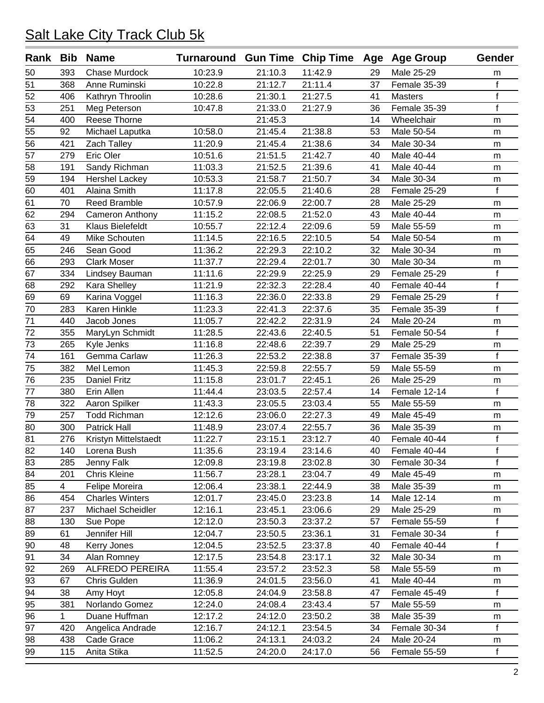|                 |                | Rank Bib Name           | Turnaround Gun Time Chip Time Age Age Group |         |         |    |                | Gender       |
|-----------------|----------------|-------------------------|---------------------------------------------|---------|---------|----|----------------|--------------|
| 50              | 393            | <b>Chase Murdock</b>    | 10:23.9                                     | 21:10.3 | 11:42.9 | 29 | Male 25-29     | m            |
| 51              | 368            | Anne Ruminski           | 10:22.8                                     | 21:12.7 | 21:11.4 | 37 | Female 35-39   | f            |
| 52              | 406            | Kathryn Throolin        | 10:28.6                                     | 21:30.1 | 21:27.5 | 41 | <b>Masters</b> | $\mathsf f$  |
| 53              | 251            | Meg Peterson            | 10:47.8                                     | 21:33.0 | 21:27.9 | 36 | Female 35-39   | $\mathsf{f}$ |
| $\overline{54}$ | 400            | Reese Thorne            |                                             | 21:45.3 |         | 14 | Wheelchair     | m            |
| 55              | 92             | Michael Laputka         | 10:58.0                                     | 21:45.4 | 21:38.8 | 53 | Male 50-54     | m            |
| 56              | 421            | Zach Talley             | 11:20.9                                     | 21:45.4 | 21:38.6 | 34 | Male 30-34     | m            |
| 57              | 279            | Eric Oler               | 10:51.6                                     | 21:51.5 | 21:42.7 | 40 | Male 40-44     | m            |
| 58              | 191            | Sandy Richman           | 11:03.3                                     | 21:52.5 | 21:39.6 | 41 | Male 40-44     | m            |
| 59              | 194            | <b>Hershel Lackey</b>   | 10:53.3                                     | 21:58.7 | 21:50.7 | 34 | Male 30-34     | m            |
| 60              | 401            | Alaina Smith            | 11:17.8                                     | 22:05.5 | 21:40.6 | 28 | Female 25-29   | f            |
| 61              | 70             | <b>Reed Bramble</b>     | 10:57.9                                     | 22:06.9 | 22:00.7 | 28 | Male 25-29     | m            |
| 62              | 294            | Cameron Anthony         | 11:15.2                                     | 22:08.5 | 21:52.0 | 43 | Male 40-44     | m            |
| 63              | 31             | <b>Klaus Bielefeldt</b> | 10:55.7                                     | 22:12.4 | 22:09.6 | 59 | Male 55-59     | m            |
| 64              | 49             | Mike Schouten           | 11:14.5                                     | 22:16.5 | 22:10.5 | 54 | Male 50-54     | m            |
| 65              | 246            | Sean Good               | 11:36.2                                     | 22:29.3 | 22:10.2 | 32 | Male 30-34     | m            |
| 66              | 293            | <b>Clark Moser</b>      | 11:37.7                                     | 22:29.4 | 22:01.7 | 30 | Male 30-34     | m            |
| 67              | 334            | Lindsey Bauman          | 11:11.6                                     | 22:29.9 | 22:25.9 | 29 | Female 25-29   | $\mathsf f$  |
| 68              | 292            | Kara Shelley            | 11:21.9                                     | 22:32.3 | 22:28.4 | 40 | Female 40-44   | $\mathsf f$  |
| 69              | 69             | Karina Voggel           | 11:16.3                                     | 22:36.0 | 22:33.8 | 29 | Female 25-29   | $\mathsf f$  |
| 70              | 283            | Karen Hinkle            | 11:23.3                                     | 22:41.3 | 22:37.6 | 35 | Female 35-39   | $\mathsf{f}$ |
| 71              | 440            | Jacob Jones             | 11:05.7                                     | 22:42.2 | 22:31.9 | 24 | Male 20-24     | m            |
| 72              | 355            | MaryLyn Schmidt         | 11:28.5                                     | 22:43.6 | 22:40.5 | 51 | Female 50-54   | f            |
| 73              | 265            | Kyle Jenks              | 11:16.8                                     | 22:48.6 | 22:39.7 | 29 | Male 25-29     | m            |
| 74              | 161            | Gemma Carlaw            | 11:26.3                                     | 22:53.2 | 22:38.8 | 37 | Female 35-39   | f            |
| 75              | 382            | Mel Lemon               | 11:45.3                                     | 22:59.8 | 22:55.7 | 59 | Male 55-59     | m            |
| 76              | 235            | <b>Daniel Fritz</b>     | 11:15.8                                     | 23:01.7 | 22:45.1 | 26 | Male 25-29     | m            |
| $\overline{77}$ | 380            | Erin Allen              | 11:44.4                                     | 23:03.5 | 22:57.4 | 14 | Female 12-14   | $\mathsf{f}$ |
| 78              | 322            | Aaron Spilker           | 11:43.3                                     | 23:05.5 | 23:03.4 | 55 | Male 55-59     | m            |
| 79              | 257            | <b>Todd Richman</b>     | 12:12.6                                     | 23:06.0 | 22:27.3 | 49 | Male 45-49     | m            |
| 80              | 300            | <b>Patrick Hall</b>     | 11:48.9                                     | 23:07.4 | 22:55.7 | 36 | Male 35-39     | m            |
| 81              | 276            | Kristyn Mittelstaedt    | 11:22.7                                     | 23:15.1 | 23:12.7 | 40 | Female 40-44   | f            |
| $\overline{82}$ | 140            | Lorena Bush             | 11:35.6                                     | 23:19.4 | 23:14.6 | 40 | Female 40-44   | T            |
| 83              | 285            | Jenny Falk              | 12:09.8                                     | 23:19.8 | 23:02.8 | 30 | Female 30-34   | f            |
| 84              | 201            | <b>Chris Kleine</b>     | 11:56.7                                     | 23:28.1 | 23:04.7 | 49 | Male 45-49     | m            |
| 85              | $\overline{4}$ | Felipe Moreira          | 12:06.4                                     | 23:38.1 | 22:44.9 | 38 | Male 35-39     | m            |
| 86              | 454            | <b>Charles Winters</b>  | 12:01.7                                     | 23:45.0 | 23:23.8 | 14 | Male 12-14     | m            |
| 87              | 237            | Michael Scheidler       | 12:16.1                                     | 23:45.1 | 23:06.6 | 29 | Male 25-29     | m            |
| 88              | 130            | Sue Pope                | 12:12.0                                     | 23:50.3 | 23:37.2 | 57 | Female 55-59   | f            |
| 89              | 61             | Jennifer Hill           | 12:04.7                                     | 23:50.5 | 23:36.1 | 31 | Female 30-34   | f            |
| 90              | 48             | Kerry Jones             | 12:04.5                                     | 23:52.5 | 23:37.8 | 40 | Female 40-44   | f            |
| 91              | 34             | Alan Romney             | 12:17.5                                     | 23:54.8 | 23:17.1 | 32 | Male 30-34     | m            |
| 92              | 269            | <b>ALFREDO PEREIRA</b>  | 11:55.4                                     | 23:57.2 | 23:52.3 | 58 | Male 55-59     | m            |
| 93              | 67             | Chris Gulden            | 11:36.9                                     | 24:01.5 | 23:56.0 | 41 | Male 40-44     | m            |
| 94              | 38             | Amy Hoyt                | 12:05.8                                     | 24:04.9 | 23:58.8 | 47 | Female 45-49   | f            |
| 95              | 381            | Norlando Gomez          | 12:24.0                                     | 24:08.4 | 23:43.4 | 57 | Male 55-59     | m            |
| 96              | $\mathbf 1$    | Duane Huffman           | 12:17.2                                     | 24:12.0 | 23:50.2 | 38 | Male 35-39     | m            |
| 97              | 420            | Angelica Andrade        | 12:16.7                                     | 24:12.1 | 23:54.5 | 34 | Female 30-34   | $\mathsf{f}$ |
| 98              | 438            | Cade Grace              | 11:06.2                                     | 24:13.1 | 24:03.2 | 24 | Male 20-24     | m            |
| 99              | 115            | Anita Stika             | 11:52.5                                     | 24:20.0 | 24:17.0 | 56 | Female 55-59   | f            |
|                 |                |                         |                                             |         |         |    |                |              |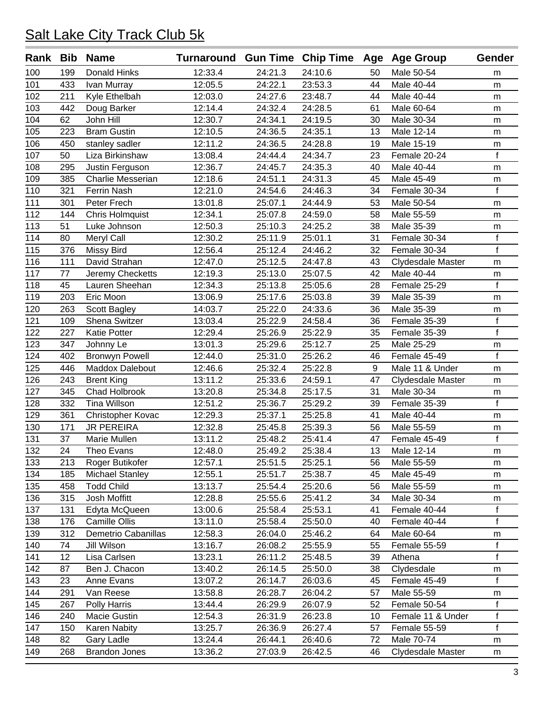| Rank Bib |     | <b>Name</b>              | Turnaround Gun Time Chip Time Age Age Group |         |         |    |                   | Gender         |
|----------|-----|--------------------------|---------------------------------------------|---------|---------|----|-------------------|----------------|
| 100      | 199 | <b>Donald Hinks</b>      | 12:33.4                                     | 24:21.3 | 24:10.6 | 50 | Male 50-54        | m              |
| 101      | 433 | Ivan Murray              | 12:05.5                                     | 24:22.1 | 23:53.3 | 44 | Male 40-44        | m              |
| 102      | 211 | Kyle Ethelbah            | 12:03.0                                     | 24:27.6 | 23:48.7 | 44 | Male 40-44        | m              |
| 103      | 442 | Doug Barker              | 12:14.4                                     | 24:32.4 | 24:28.5 | 61 | Male 60-64        | m              |
| 104      | 62  | John Hill                | 12:30.7                                     | 24:34.1 | 24:19.5 | 30 | Male 30-34        | ${\sf m}$      |
| 105      | 223 | <b>Bram Gustin</b>       | 12:10.5                                     | 24:36.5 | 24:35.1 | 13 | Male 12-14        | m              |
| 106      | 450 | stanley sadler           | 12:11.2                                     | 24:36.5 | 24:28.8 | 19 | Male 15-19        | m              |
| 107      | 50  | Liza Birkinshaw          | 13:08.4                                     | 24:44.4 | 24:34.7 | 23 | Female 20-24      | $\mathbf f$    |
| 108      | 295 | Justin Ferguson          | 12:36.7                                     | 24:45.7 | 24:35.3 | 40 | Male 40-44        | m              |
| 109      | 385 | <b>Charlie Messerian</b> | 12:18.6                                     | 24:51.1 | 24:31.3 | 45 | Male 45-49        | m              |
| 110      | 321 | Ferrin Nash              | 12:21.0                                     | 24:54.6 | 24:46.3 | 34 | Female 30-34      | $\mathbf f$    |
| 111      | 301 | Peter Frech              | 13:01.8                                     | 25:07.1 | 24:44.9 | 53 | Male 50-54        | m              |
| 112      | 144 | Chris Holmquist          | 12:34.1                                     | 25:07.8 | 24:59.0 | 58 | Male 55-59        | m              |
| 113      | 51  | Luke Johnson             | 12:50.3                                     | 25:10.3 | 24:25.2 | 38 | Male 35-39        | m              |
| 114      | 80  | Meryl Call               | 12:30.2                                     | 25:11.9 | 25:01.1 | 31 | Female 30-34      | f              |
| 115      | 376 | <b>Missy Bird</b>        | 12:56.4                                     | 25:12.4 | 24:46.2 | 32 | Female 30-34      | f              |
| 116      | 111 | David Strahan            | 12:47.0                                     | 25:12.5 | 24:47.8 | 43 | Clydesdale Master | m              |
| 117      | 77  | Jeremy Checketts         | 12:19.3                                     | 25:13.0 | 25:07.5 | 42 | Male 40-44        | m              |
| 118      | 45  | Lauren Sheehan           | 12:34.3                                     | 25:13.8 | 25:05.6 | 28 | Female 25-29      | $\mathbf f$    |
| 119      | 203 | Eric Moon                | 13:06.9                                     | 25:17.6 | 25:03.8 | 39 | Male 35-39        | m              |
| 120      | 263 | Scott Bagley             | 14:03.7                                     | 25:22.0 | 24:33.6 | 36 | Male 35-39        | m              |
| 121      | 109 | Shena Switzer            | 13:03.4                                     | 25:22.9 | 24:58.4 | 36 | Female 35-39      | $\mathsf f$    |
| 122      | 227 | Katie Potter             | 12:29.4                                     | 25:26.9 | 25:22.9 | 35 | Female 35-39      | $\overline{f}$ |
| 123      | 347 | Johnny Le                | 13:01.3                                     | 25:29.6 | 25:12.7 | 25 | Male 25-29        | m              |
| 124      | 402 | <b>Bronwyn Powell</b>    | 12:44.0                                     | 25:31.0 | 25:26.2 | 46 | Female 45-49      | $\mathbf f$    |
| 125      | 446 | Maddox Dalebout          | 12:46.6                                     | 25:32.4 | 25:22.8 | 9  | Male 11 & Under   | m              |
| 126      | 243 | <b>Brent King</b>        | 13:11.2                                     | 25:33.6 | 24:59.1 | 47 | Clydesdale Master | m              |
| 127      | 345 | Chad Holbrook            | 13:20.8                                     | 25:34.8 | 25:17.5 | 31 | Male 30-34        | m              |
| 128      | 332 | <b>Tina Willson</b>      | 12:51.2                                     | 25:36.7 | 25:29.2 | 39 | Female 35-39      | f              |
| 129      | 361 | Christopher Kovac        | 12:29.3                                     | 25:37.1 | 25:25.8 | 41 | Male 40-44        | m              |
| 130      | 171 | <b>JR PEREIRA</b>        | 12:32.8                                     | 25:45.8 | 25:39.3 | 56 | Male 55-59        | m              |
| 131      | 37  | Marie Mullen             | 13:11.2                                     | 25:48.2 | 25:41.4 | 47 | Female 45-49      | f              |
| 132      | 24  | Theo Evans               | 12:48.0                                     | 25:49.2 | 25:38.4 | 13 | Male 12-14        | m              |
| 133      | 213 | Roger Butikofer          | 12:57.1                                     | 25:51.5 | 25:25.1 | 56 | Male 55-59        | m              |
| 134      | 185 | <b>Michael Stanley</b>   | 12:55.1                                     | 25:51.7 | 25:38.7 | 45 | Male 45-49        | m              |
| 135      | 458 | <b>Todd Child</b>        | 13:13.7                                     | 25:54.4 | 25:20.6 | 56 | Male 55-59        | m              |
| 136      | 315 | Josh Moffitt             | 12:28.8                                     | 25:55.6 | 25:41.2 | 34 | Male 30-34        | m              |
| 137      | 131 | Edyta McQueen            | 13:00.6                                     | 25:58.4 | 25:53.1 | 41 | Female 40-44      | f              |
| 138      | 176 | Camille Ollis            | 13:11.0                                     | 25:58.4 | 25:50.0 | 40 | Female 40-44      | f              |
| 139      | 312 | Demetrio Cabanillas      | 12:58.3                                     | 26:04.0 | 25:46.2 | 64 | Male 60-64        | m              |
| 140      | 74  | Jill Wilson              | 13:16.7                                     | 26:08.2 | 25:55.9 | 55 | Female 55-59      | f              |
| 141      | 12  | Lisa Carlsen             | 13:23.1                                     | 26:11.2 | 25:48.5 | 39 | Athena            | $\mathsf f$    |
| 142      | 87  | Ben J. Chacon            | 13:40.2                                     | 26:14.5 | 25:50.0 | 38 | Clydesdale        | m              |
| 143      | 23  | Anne Evans               | 13:07.2                                     | 26:14.7 | 26:03.6 | 45 | Female 45-49      | f              |
| 144      | 291 | Van Reese                | 13:58.8                                     | 26:28.7 | 26:04.2 | 57 | Male 55-59        | m              |
| 145      | 267 | Polly Harris             | 13:44.4                                     | 26:29.9 | 26:07.9 | 52 | Female 50-54      | f              |
| 146      | 240 | Macie Gustin             | 12:54.3                                     | 26:31.9 | 26:23.8 | 10 | Female 11 & Under | f              |
| 147      | 150 | Karen Nabity             | 13:25.7                                     | 26:36.9 | 26:27.4 | 57 | Female 55-59      | f              |
| 148      | 82  | Gary Ladle               | 13:24.4                                     | 26:44.1 | 26:40.6 | 72 | Male 70-74        | m              |
| 149      | 268 | <b>Brandon Jones</b>     | 13:36.2                                     | 27:03.9 | 26:42.5 | 46 | Clydesdale Master | m              |
|          |     |                          |                                             |         |         |    |                   |                |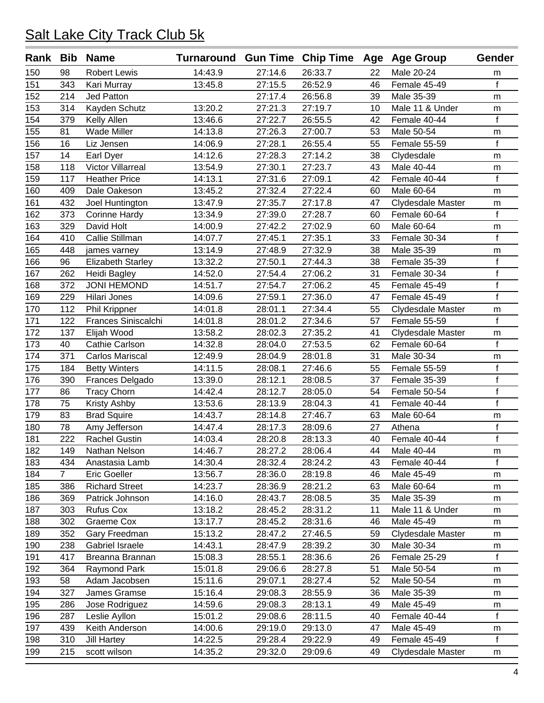| Rank Bib |                | <b>Name</b>              | Turnaround Gun Time Chip Time Age Age Group |         |         |    |                   | Gender       |
|----------|----------------|--------------------------|---------------------------------------------|---------|---------|----|-------------------|--------------|
| 150      | 98             | <b>Robert Lewis</b>      | 14:43.9                                     | 27:14.6 | 26:33.7 | 22 | Male 20-24        | m            |
| 151      | 343            | Kari Murray              | 13:45.8                                     | 27:15.5 | 26:52.9 | 46 | Female 45-49      | $\mathbf f$  |
| 152      | 214            | Jed Patton               |                                             | 27:17.4 | 26:56.8 | 39 | Male 35-39        | m            |
| 153      | 314            | Kayden Schutz            | 13:20.2                                     | 27:21.3 | 27:19.7 | 10 | Male 11 & Under   | m            |
| 154      | 379            | Kelly Allen              | 13:46.6                                     | 27:22.7 | 26:55.5 | 42 | Female 40-44      | $\mathbf f$  |
| 155      | 81             | <b>Wade Miller</b>       | 14:13.8                                     | 27:26.3 | 27:00.7 | 53 | Male 50-54        | m            |
| 156      | 16             | Liz Jensen               | 14:06.9                                     | 27:28.1 | 26:55.4 | 55 | Female 55-59      | f            |
| 157      | 14             | Earl Dyer                | 14:12.6                                     | 27:28.3 | 27:14.2 | 38 | Clydesdale        | m            |
| 158      | 118            | Victor Villarreal        | 13:54.9                                     | 27:30.1 | 27:23.7 | 43 | Male 40-44        | m            |
| 159      | 117            | <b>Heather Price</b>     | 14:13.1                                     | 27:31.6 | 27:09.1 | 42 | Female 40-44      | $\mathbf f$  |
| 160      | 409            | Dale Oakeson             | 13:45.2                                     | 27:32.4 | 27:22.4 | 60 | Male 60-64        | m            |
| 161      | 432            | Joel Huntington          | 13:47.9                                     | 27:35.7 | 27:17.8 | 47 | Clydesdale Master | m            |
| 162      | 373            | <b>Corinne Hardy</b>     | 13:34.9                                     | 27:39.0 | 27:28.7 | 60 | Female 60-64      | f            |
| 163      | 329            | David Holt               | 14:00.9                                     | 27:42.2 | 27:02.9 | 60 | Male 60-64        | m            |
| 164      | 410            | Callie Stillman          | 14:07.7                                     | 27:45.1 | 27:35.1 | 33 | Female 30-34      | $\mathbf f$  |
| 165      | 448            | james varney             | 13:14.9                                     | 27:48.9 | 27:32.9 | 38 | Male 35-39        | m            |
| 166      | 96             | <b>Elizabeth Starley</b> | 13:32.2                                     | 27:50.1 | 27:44.3 | 38 | Female 35-39      | $\mathsf{f}$ |
| 167      | 262            | Heidi Bagley             | 14:52.0                                     | 27:54.4 | 27:06.2 | 31 | Female 30-34      | $\mathsf f$  |
| 168      | 372            | <b>JONI HEMOND</b>       | 14:51.7                                     | 27:54.7 | 27:06.2 | 45 | Female 45-49      | $\mathsf f$  |
| 169      | 229            | Hilari Jones             | 14:09.6                                     | 27:59.1 | 27:36.0 | 47 | Female 45-49      | $\mathbf{f}$ |
| 170      | 112            | Phil Krippner            | 14:01.8                                     | 28:01.1 | 27:34.4 | 55 | Clydesdale Master | m            |
| 171      | 122            | Frances Siniscalchi      | 14:01.8                                     | 28:01.2 | 27:34.6 | 57 | Female 55-59      | $\mathsf{f}$ |
| 172      | 137            | Elijah Wood              | 13:58.2                                     | 28:02.3 | 27:35.2 | 41 | Clydesdale Master | m            |
| 173      | 40             | Cathie Carlson           | 14:32.8                                     | 28:04.0 | 27:53.5 | 62 | Female 60-64      | f            |
| 174      | 371            | <b>Carlos Mariscal</b>   | 12:49.9                                     | 28:04.9 | 28:01.8 | 31 | Male 30-34        | m            |
| 175      | 184            | <b>Betty Winters</b>     | 14:11.5                                     | 28:08.1 | 27:46.6 | 55 | Female 55-59      | $\mathsf f$  |
| 176      | 390            | Frances Delgado          | 13:39.0                                     | 28:12.1 | 28:08.5 | 37 | Female 35-39      | $\mathsf{f}$ |
| 177      | 86             | <b>Tracy Chorn</b>       | 14:42.4                                     | 28:12.7 | 28:05.0 | 54 | Female 50-54      | $\mathsf f$  |
| 178      | 75             | Kristy Ashby             | 13:53.6                                     | 28:13.9 | 28:04.3 | 41 | Female 40-44      | $\mathsf{f}$ |
| 179      | 83             | <b>Brad Squire</b>       | 14:43.7                                     | 28:14.8 | 27:46.7 | 63 | Male 60-64        | m            |
| 180      | 78             | Amy Jefferson            | 14:47.4                                     | 28:17.3 | 28:09.6 | 27 | Athena            | $\mathsf{f}$ |
| 181      | 222            | <b>Rachel Gustin</b>     | 14:03.4                                     | 28:20.8 | 28:13.3 | 40 | Female 40-44      | f            |
| 182      | 149            | Nathan Nelson            | 14:46.7                                     | 28:27.2 | 28:06.4 | 44 | Male 40-44        | m            |
| 183      | 434            | Anastasia Lamb           | 14:30.4                                     | 28:32.4 | 28:24.2 | 43 | Female 40-44      | $\mathsf{f}$ |
| 184      | $\overline{7}$ | <b>Eric Goeller</b>      | 13:56.7                                     | 28:36.0 | 28:19.8 | 46 | Male 45-49        | m            |
| 185      | 386            | <b>Richard Street</b>    | 14:23.7                                     | 28:36.9 | 28:21.2 | 63 | Male 60-64        | m            |
| 186      | 369            | Patrick Johnson          | 14:16.0                                     | 28:43.7 | 28:08.5 | 35 | Male 35-39        | m            |
| 187      | 303            | <b>Rufus Cox</b>         | 13:18.2                                     | 28:45.2 | 28:31.2 | 11 | Male 11 & Under   | m            |
| 188      | 302            | Graeme Cox               | 13:17.7                                     | 28:45.2 | 28:31.6 | 46 | Male 45-49        | m            |
| 189      | 352            | Gary Freedman            | 15:13.2                                     | 28:47.2 | 27:46.5 | 59 | Clydesdale Master | m            |
| 190      | 238            | Gabriel Israele          | 14:43.1                                     | 28:47.9 | 28:39.2 | 30 | Male 30-34        | m            |
| 191      | 417            | Breanna Brannan          | 15:08.3                                     | 28:55.1 | 28:36.6 | 26 | Female 25-29      | f            |
| 192      | 364            | Raymond Park             | 15:01.8                                     | 29:06.6 | 28:27.8 | 51 | Male 50-54        | m            |
| 193      | 58             | Adam Jacobsen            | 15:11.6                                     | 29:07.1 | 28:27.4 | 52 | Male 50-54        | m            |
| 194      | 327            | James Gramse             | 15:16.4                                     | 29:08.3 | 28:55.9 | 36 | Male 35-39        | m            |
| 195      | 286            | Jose Rodriguez           | 14:59.6                                     | 29:08.3 | 28:13.1 | 49 | Male 45-49        | m            |
| 196      | 287            | Leslie Ayllon            | 15:01.2                                     | 29:08.6 | 28:11.5 | 40 | Female 40-44      | f            |
| 197      | 439            | Keith Anderson           | 14:00.6                                     | 29:19.0 | 29:13.0 | 47 | Male 45-49        | m            |
| 198      | 310            | <b>Jill Hartey</b>       | 14:22.5                                     | 29:28.4 | 29:22.9 | 49 | Female 45-49      | f            |
| 199      | 215            | scott wilson             | 14:35.2                                     | 29:32.0 | 29:09.6 | 49 | Clydesdale Master | m            |
|          |                |                          |                                             |         |         |    |                   |              |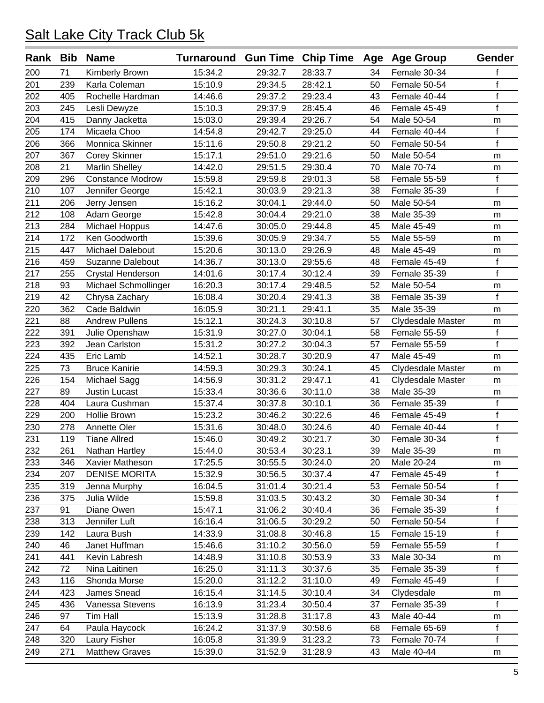| Rank Bib |     | <b>Name</b>             | Turnaround Gun Time Chip Time Age Age Group |         |         |    |                   | Gender       |
|----------|-----|-------------------------|---------------------------------------------|---------|---------|----|-------------------|--------------|
| 200      | 71  | Kimberly Brown          | 15:34.2                                     | 29:32.7 | 28:33.7 | 34 | Female 30-34      | f            |
| 201      | 239 | Karla Coleman           | 15:10.9                                     | 29:34.5 | 28:42.1 | 50 | Female 50-54      | f            |
| 202      | 405 | Rochelle Hardman        | 14:46.6                                     | 29:37.2 | 29:23.4 | 43 | Female 40-44      | $\mathsf f$  |
| 203      | 245 | Lesli Dewyze            | 15:10.3                                     | 29:37.9 | 28:45.4 | 46 | Female 45-49      | $\mathsf{f}$ |
| 204      | 415 | Danny Jacketta          | 15:03.0                                     | 29:39.4 | 29:26.7 | 54 | Male 50-54        | m            |
| 205      | 174 | Micaela Choo            | 14:54.8                                     | 29:42.7 | 29:25.0 | 44 | Female 40-44      | f            |
| 206      | 366 | Monnica Skinner         | 15:11.6                                     | 29:50.8 | 29:21.2 | 50 | Female 50-54      | $\mathsf{f}$ |
| 207      | 367 | Corey Skinner           | 15:17.1                                     | 29:51.0 | 29:21.6 | 50 | Male 50-54        | m            |
| 208      | 21  | <b>Marlin Shelley</b>   | 14:42.0                                     | 29:51.5 | 29:30.4 | 70 | Male 70-74        | m            |
| 209      | 296 | <b>Constance Modrow</b> | 15:59.8                                     | 29:59.8 | 29:01.3 | 58 | Female 55-59      | $\mathsf f$  |
| 210      | 107 | Jennifer George         | 15:42.1                                     | 30:03.9 | 29:21.3 | 38 | Female 35-39      | $\mathsf{f}$ |
| 211      | 206 | Jerry Jensen            | 15:16.2                                     | 30:04.1 | 29:44.0 | 50 | Male 50-54        | m            |
| 212      | 108 | Adam George             | 15:42.8                                     | 30:04.4 | 29:21.0 | 38 | Male 35-39        | m            |
| 213      | 284 | Michael Hoppus          | 14:47.6                                     | 30:05.0 | 29:44.8 | 45 | Male 45-49        | m            |
| 214      | 172 | Ken Goodworth           | 15:39.6                                     | 30:05.9 | 29:34.7 | 55 | Male 55-59        | m            |
| 215      | 447 | Michael Dalebout        | 15:20.6                                     | 30:13.0 | 29:26.9 | 48 | Male 45-49        | m            |
| 216      | 459 | <b>Suzanne Dalebout</b> | 14:36.7                                     | 30:13.0 | 29:55.6 | 48 | Female 45-49      | $\mathsf f$  |
| 217      | 255 | Crystal Henderson       | 14:01.6                                     | 30:17.4 | 30:12.4 | 39 | Female 35-39      | $\mathsf{f}$ |
| 218      | 93  | Michael Schmollinger    | 16:20.3                                     | 30:17.4 | 29:48.5 | 52 | Male 50-54        | m            |
| 219      | 42  | Chrysa Zachary          | 16:08.4                                     | 30:20.4 | 29:41.3 | 38 | Female 35-39      | f            |
| 220      | 362 | Cade Baldwin            | 16:05.9                                     | 30:21.1 | 29:41.1 | 35 | Male 35-39        | m            |
| 221      | 88  | <b>Andrew Pullens</b>   | 15:12.1                                     | 30:24.3 | 30:10.8 | 57 | Clydesdale Master | m            |
| 222      | 391 | Julie Openshaw          | 15:31.9                                     | 30:27.0 | 30:04.1 | 58 | Female 55-59      | f            |
| 223      | 392 | Jean Carlston           | 15:31.2                                     | 30:27.2 | 30:04.3 | 57 | Female 55-59      | $\mathbf f$  |
| 224      | 435 | Eric Lamb               | 14:52.1                                     | 30:28.7 | 30:20.9 | 47 | Male 45-49        | m            |
| 225      | 73  | <b>Bruce Kanirie</b>    | 14:59.3                                     | 30:29.3 | 30:24.1 | 45 | Clydesdale Master | m            |
| 226      | 154 | Michael Sagg            | 14:56.9                                     | 30:31.2 | 29:47.1 | 41 | Clydesdale Master | m            |
| 227      | 89  | <b>Justin Lucast</b>    | 15:33.4                                     | 30:36.6 | 30:11.0 | 38 | Male 35-39        | m            |
| 228      | 404 | Laura Cushman           | 15:37.4                                     | 30:37.8 | 30:10.1 | 36 | Female 35-39      | f            |
| 229      | 200 | Hollie Brown            | 15:23.2                                     | 30:46.2 | 30:22.6 | 46 | Female 45-49      | $\mathsf{f}$ |
| 230      | 278 | Annette Oler            | 15:31.6                                     | 30:48.0 | 30:24.6 | 40 | Female 40-44      | $\mathsf f$  |
| 231      | 119 | <b>Tiane Allred</b>     | 15:46.0                                     | 30:49.2 | 30:21.7 | 30 | Female 30-34      | f            |
| 232      | 261 | Nathan Hartley          | 15:44.0                                     | 30:53.4 | 30:23.1 | 39 | Male 35-39        | m            |
| 233      | 346 | Xavier Matheson         | 17:25.5                                     | 30:55.5 | 30:24.0 | 20 | Male 20-24        | m            |
| 234      | 207 | <b>DENISE MORITA</b>    | 15:32.9                                     | 30:56.5 | 30:37.4 | 47 | Female 45-49      | f            |
| 235      | 319 | Jenna Murphy            | 16:04.5                                     | 31:01.4 | 30:21.4 | 53 | Female 50-54      | $\mathsf f$  |
| 236      | 375 | Julia Wilde             | 15:59.8                                     | 31:03.5 | 30:43.2 | 30 | Female 30-34      | $\mathsf f$  |
| 237      | 91  | Diane Owen              | 15:47.1                                     | 31:06.2 | 30:40.4 | 36 | Female 35-39      | f            |
| 238      | 313 | Jennifer Luft           | 16:16.4                                     | 31:06.5 | 30:29.2 | 50 | Female 50-54      | f            |
| 239      | 142 | Laura Bush              | 14:33.9                                     | 31:08.8 | 30:46.8 | 15 | Female 15-19      | f            |
| 240      | 46  | Janet Huffman           | 15:46.6                                     | 31:10.2 | 30:56.0 | 59 | Female 55-59      | $\mathsf f$  |
| 241      | 441 | Kevin Labresh           | 14:48.9                                     | 31:10.8 | 30:53.9 | 33 | Male 30-34        | m            |
| 242      | 72  | Nina Laitinen           | 16:25.0                                     | 31:11.3 | 30:37.6 | 35 | Female 35-39      | f            |
| 243      | 116 | Shonda Morse            | 15:20.0                                     | 31:12.2 | 31:10.0 | 49 | Female 45-49      | f            |
| 244      | 423 | James Snead             | 16:15.4                                     | 31:14.5 | 30:10.4 | 34 | Clydesdale        | m            |
| 245      | 436 | Vanessa Stevens         | 16:13.9                                     | 31:23.4 | 30:50.4 | 37 | Female 35-39      | f            |
| 246      | 97  | Tim Hall                | 15:13.9                                     | 31:28.8 | 31:17.8 | 43 | Male 40-44        | m            |
| 247      | 64  | Paula Haycock           | 16:24.2                                     | 31:37.9 | 30:58.6 | 68 | Female 65-69      | f            |
| 248      | 320 | Laury Fisher            | 16:05.8                                     | 31:39.9 | 31:23.2 | 73 | Female 70-74      | f            |
| 249      | 271 | <b>Matthew Graves</b>   | 15:39.0                                     | 31:52.9 | 31:28.9 | 43 | Male 40-44        | m            |
|          |     |                         |                                             |         |         |    |                   |              |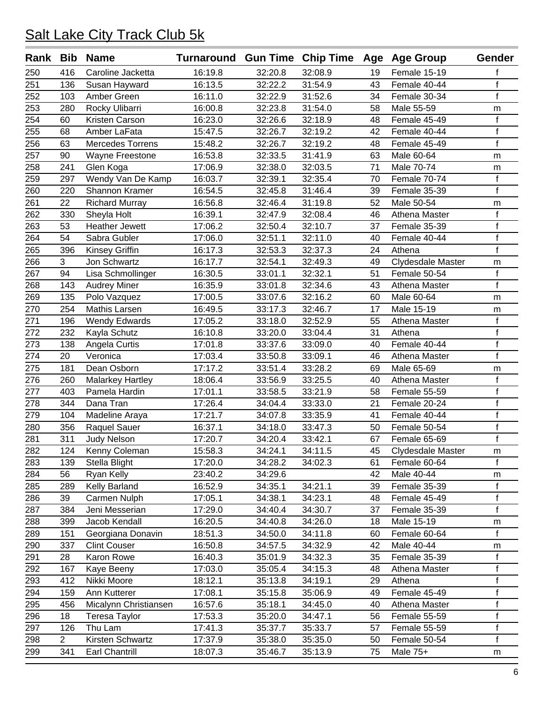| Rank Bib         |                | <b>Name</b>             | Turnaround Gun Time Chip Time Age Age Group |         |         |    |                   | Gender       |
|------------------|----------------|-------------------------|---------------------------------------------|---------|---------|----|-------------------|--------------|
| 250              | 416            | Caroline Jacketta       | 16:19.8                                     | 32:20.8 | 32:08.9 | 19 | Female 15-19      | f            |
| 251              | 136            | Susan Hayward           | 16:13.5                                     | 32:22.2 | 31:54.9 | 43 | Female 40-44      | f            |
| 252              | 103            | Amber Green             | 16:11.0                                     | 32:22.9 | 31:52.6 | 34 | Female 30-34      | $\mathsf{f}$ |
| 253              | 280            | Rocky Ulibarri          | 16:00.8                                     | 32:23.8 | 31:54.0 | 58 | Male 55-59        | m            |
| 254              | 60             | Kristen Carson          | 16:23.0                                     | 32:26.6 | 32:18.9 | 48 | Female 45-49      | $\mathsf f$  |
| 255              | 68             | Amber LaFata            | 15:47.5                                     | 32:26.7 | 32:19.2 | 42 | Female 40-44      | $\mathsf f$  |
| 256              | 63             | <b>Mercedes Torrens</b> | 15:48.2                                     | 32:26.7 | 32:19.2 | 48 | Female 45-49      | f            |
| 257              | 90             | Wayne Freestone         | 16:53.8                                     | 32:33.5 | 31:41.9 | 63 | Male 60-64        | m            |
| 258              | 241            | Glen Koga               | 17:06.9                                     | 32:38.0 | 32:03.5 | 71 | Male 70-74        | m            |
| 259              | 297            | Wendy Van De Kamp       | 16:03.7                                     | 32:39.1 | 32:35.4 | 70 | Female 70-74      | $\mathsf f$  |
| 260              | 220            | Shannon Kramer          | 16:54.5                                     | 32:45.8 | 31:46.4 | 39 | Female 35-39      | f            |
| 261              | 22             | <b>Richard Murray</b>   | 16:56.8                                     | 32:46.4 | 31:19.8 | 52 | Male 50-54        | m            |
| 262              | 330            | Sheyla Holt             | 16:39.1                                     | 32:47.9 | 32:08.4 | 46 | Athena Master     | $\mathsf f$  |
| 263              | 53             | <b>Heather Jewett</b>   | 17:06.2                                     | 32:50.4 | 32:10.7 | 37 | Female 35-39      | $\mathsf f$  |
| 264              | 54             | Sabra Gubler            | 17:06.0                                     | 32:51.1 | 32:11.0 | 40 | Female 40-44      | $\mathsf f$  |
| 265              | 396            | Kinsey Griffin          | 16:17.3                                     | 32:53.3 | 32:37.3 | 24 | Athena            | $\mathsf f$  |
| 266              | 3              | Jon Schwartz            | 16:17.7                                     | 32:54.1 | 32:49.3 | 49 | Clydesdale Master | m            |
| 267              | 94             | Lisa Schmollinger       | 16:30.5                                     | 33:01.1 | 32:32.1 | 51 | Female 50-54      | $\mathsf f$  |
| 268              | 143            | <b>Audrey Miner</b>     | 16:35.9                                     | 33:01.8 | 32:34.6 | 43 | Athena Master     | $\mathsf f$  |
| 269              | 135            | Polo Vazquez            | 17:00.5                                     | 33:07.6 | 32:16.2 | 60 | Male 60-64        | m            |
| 270              | 254            | Mathis Larsen           | 16:49.5                                     | 33:17.3 | 32:46.7 | 17 | Male 15-19        | m            |
| 271              | 196            | <b>Wendy Edwards</b>    | 17:05.2                                     | 33:18.0 | 32:52.9 | 55 | Athena Master     | f            |
| 272              | 232            | Kayla Schutz            | 16:10.8                                     | 33:20.0 | 33:04.4 | 31 | Athena            | $\mathsf f$  |
| 273              | 138            | Angela Curtis           | 17:01.8                                     | 33:37.6 | 33:09.0 | 40 | Female 40-44      | $\mathsf f$  |
| 274              | 20             | Veronica                | 17:03.4                                     | 33:50.8 | 33:09.1 | 46 | Athena Master     | $\mathsf f$  |
| 275              | 181            | Dean Osborn             | 17:17.2                                     | 33:51.4 | 33:28.2 | 69 | Male 65-69        | m            |
| 276              | 260            | <b>Malarkey Hartley</b> | 18:06.4                                     | 33:56.9 | 33:25.5 | 40 | Athena Master     | f            |
| $\overline{277}$ | 403            | Pamela Hardin           | 17:01.1                                     | 33:58.5 | 33:21.9 | 58 | Female 55-59      | $\mathsf f$  |
| 278              | 344            | Dana Tran               | 17:26.4                                     | 34:04.4 | 33:33.0 | 21 | Female 20-24      | $\mathsf f$  |
| 279              | 104            | Madeline Araya          | 17:21.7                                     | 34:07.8 | 33:35.9 | 41 | Female 40-44      | $\mathsf f$  |
| 280              | 356            | Raquel Sauer            | 16:37.1                                     | 34:18.0 | 33:47.3 | 50 | Female 50-54      | $\mathsf f$  |
| 281              | 311            | <b>Judy Nelson</b>      | 17:20.7                                     | 34:20.4 | 33:42.1 | 67 | Female 65-69      | $\mathsf f$  |
| 282              | 124            | Kenny Coleman           | 15:58.3                                     | 34:24.1 | 34:11.5 | 45 | Clydesdale Master | m            |
| 283              | 139            | Stella Blight           | 17:20.0                                     | 34:28.2 | 34:02.3 | 61 | Female 60-64      | f            |
| 284              | 56             | Ryan Kelly              | 23:40.2                                     | 34:29.6 |         | 42 | Male 40-44        | m            |
| 285              | 289            | Kelly Barland           | 16:52.9                                     | 34:35.1 | 34:21.1 | 39 | Female 35-39      |              |
| 286              | 39             | Carmen Nulph            | 17:05.1                                     | 34:38.1 | 34:23.1 | 48 | Female 45-49      | $\mathsf f$  |
| 287              | 384            | Jeni Messerian          | 17:29.0                                     | 34:40.4 | 34:30.7 | 37 | Female 35-39      | f            |
| 288              | 399            | Jacob Kendall           | 16:20.5                                     | 34:40.8 | 34:26.0 | 18 | Male 15-19        | m            |
| 289              | 151            | Georgiana Donavin       | 18:51.3                                     | 34:50.0 | 34:11.8 | 60 | Female 60-64      | f            |
| 290              | 337            | <b>Clint Couser</b>     | 16:50.8                                     | 34:57.5 | 34:32.9 | 42 | Male 40-44        | m            |
| 291              | 28             | Karon Rowe              | 16:40.3                                     | 35:01.9 | 34:32.3 | 35 | Female 35-39      | $\mathsf f$  |
| 292              | 167            | Kaye Beeny              | 17:03.0                                     | 35:05.4 | 34:15.3 | 48 | Athena Master     | f            |
| 293              | 412            | Nikki Moore             | 18:12.1                                     | 35:13.8 | 34:19.1 | 29 | Athena            | $\mathsf f$  |
| 294              | 159            | Ann Kutterer            | 17:08.1                                     | 35:15.8 | 35:06.9 | 49 | Female 45-49      | $\mathsf f$  |
| 295              | 456            | Micalynn Christiansen   | 16:57.6                                     | 35:18.1 | 34:45.0 | 40 | Athena Master     | f            |
| 296              | 18             | Teresa Taylor           | 17:53.3                                     | 35:20.0 | 34:47.1 | 56 | Female 55-59      | f            |
| 297              | 126            | Thu Lam                 | 17:41.3                                     | 35:37.7 | 35:33.7 | 57 | Female 55-59      | f            |
| 298              | $\overline{2}$ | Kirsten Schwartz        | 17:37.9                                     | 35:38.0 | 35:35.0 | 50 | Female 50-54      | f            |
| 299              | 341            | Earl Chantrill          | 18:07.3                                     | 35:46.7 | 35:13.9 | 75 | Male 75+          | m            |
|                  |                |                         |                                             |         |         |    |                   |              |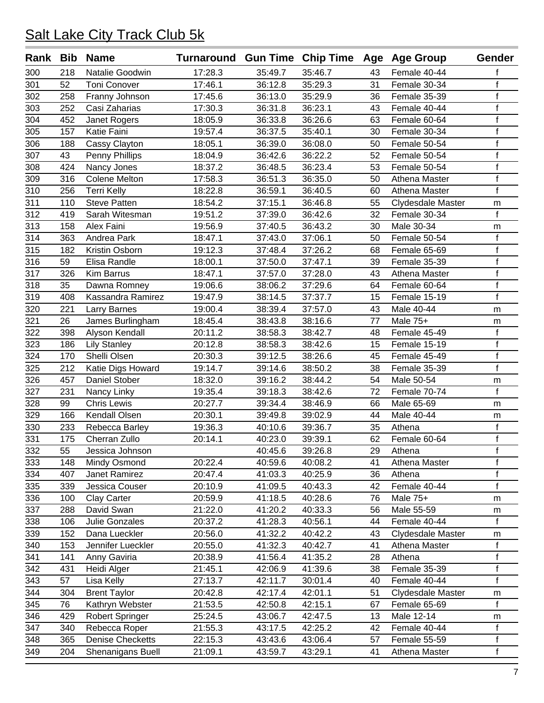| Rank Bib         |     | <b>Name</b>             | Turnaround Gun Time Chip Time Age Age Group |         |         |    |                   | Gender       |
|------------------|-----|-------------------------|---------------------------------------------|---------|---------|----|-------------------|--------------|
| 300              | 218 | Natalie Goodwin         | 17:28.3                                     | 35:49.7 | 35:46.7 | 43 | Female 40-44      | f            |
| 301              | 52  | <b>Toni Conover</b>     | 17:46.1                                     | 36:12.8 | 35:29.3 | 31 | Female 30-34      | f            |
| 302              | 258 | Franny Johnson          | 17:45.6                                     | 36:13.0 | 35:29.9 | 36 | Female 35-39      | $\mathsf f$  |
| 303              | 252 | Casi Zaharias           | 17:30.3                                     | 36:31.8 | 36:23.1 | 43 | Female 40-44      | $\mathsf f$  |
| 304              | 452 | Janet Rogers            | 18:05.9                                     | 36:33.8 | 36:26.6 | 63 | Female 60-64      | $\mathsf f$  |
| 305              | 157 | Katie Faini             | 19:57.4                                     | 36:37.5 | 35:40.1 | 30 | Female 30-34      | $\mathsf f$  |
| 306              | 188 | Cassy Clayton           | 18:05.1                                     | 36:39.0 | 36:08.0 | 50 | Female 50-54      | $\mathsf f$  |
| 307              | 43  | Penny Phillips          | 18:04.9                                     | 36:42.6 | 36:22.2 | 52 | Female 50-54      | $\mathsf f$  |
| 308              | 424 | Nancy Jones             | 18:37.2                                     | 36:48.5 | 36:23.4 | 53 | Female 50-54      | $\mathsf f$  |
| 309              | 316 | <b>Colene Melton</b>    | 17:58.3                                     | 36:51.3 | 36:35.0 | 50 | Athena Master     | $\mathsf f$  |
| 310              | 256 | <b>Terri Kelly</b>      | 18:22.8                                     | 36:59.1 | 36:40.5 | 60 | Athena Master     | f            |
| 311              | 110 | <b>Steve Patten</b>     | 18:54.2                                     | 37:15.1 | 36:46.8 | 55 | Clydesdale Master | m            |
| 312              | 419 | Sarah Witesman          | 19:51.2                                     | 37:39.0 | 36:42.6 | 32 | Female 30-34      | $\mathsf{f}$ |
| 313              | 158 | Alex Faini              | 19:56.9                                     | 37:40.5 | 36:43.2 | 30 | Male 30-34        | m            |
| 314              | 363 | Andrea Park             | 18:47.1                                     | 37:43.0 | 37:06.1 | 50 | Female 50-54      | f            |
| 315              | 182 | Kristin Osborn          | 19:12.3                                     | 37:48.4 | 37:26.2 | 68 | Female 65-69      | f            |
| 316              | 59  | Elisa Randle            | 18:00.1                                     | 37:50.0 | 37:47.1 | 39 | Female 35-39      | $\mathsf f$  |
| 317              | 326 | <b>Kim Barrus</b>       | 18:47.1                                     | 37:57.0 | 37:28.0 | 43 | Athena Master     | $\mathsf f$  |
| 318              | 35  | Dawna Romney            | 19:06.6                                     | 38:06.2 | 37:29.6 | 64 | Female 60-64      | $\mathsf f$  |
| 319              | 408 | Kassandra Ramirez       | 19:47.9                                     | 38:14.5 | 37:37.7 | 15 | Female 15-19      | $\mathsf{f}$ |
| 320              | 221 | <b>Larry Barnes</b>     | 19:00.4                                     | 38:39.4 | 37:57.0 | 43 | Male 40-44        | m            |
| 321              | 26  | James Burlingham        | 18:45.4                                     | 38:43.8 | 38:16.6 | 77 | Male 75+          | m            |
| 322              | 398 | Alyson Kendall          | 20:11.2                                     | 38:58.3 | 38:42.7 | 48 | Female 45-49      | $\mathsf f$  |
| 323              | 186 | <b>Lily Stanley</b>     | 20:12.8                                     | 38:58.3 | 38:42.6 | 15 | Female 15-19      | $\mathsf f$  |
| 324              | 170 | Shelli Olsen            | 20:30.3                                     | 39:12.5 | 38:26.6 | 45 | Female 45-49      | f            |
| 325              | 212 | Katie Digs Howard       | 19:14.7                                     | 39:14.6 | 38:50.2 | 38 | Female 35-39      | $\mathsf{f}$ |
| 326              | 457 | Daniel Stober           | 18:32.0                                     | 39:16.2 | 38:44.2 | 54 | Male 50-54        | m            |
| $\overline{327}$ | 231 | Nancy Linky             | 19:35.4                                     | 39:18.3 | 38:42.6 | 72 | Female 70-74      | $\mathsf{f}$ |
| 328              | 99  | <b>Chris Lewis</b>      | 20:27.7                                     | 39:34.4 | 38:46.9 | 66 | Male 65-69        | m            |
| 329              | 166 | Kendall Olsen           | 20:30.1                                     | 39:49.8 | 39:02.9 | 44 | Male 40-44        | m            |
| 330              | 233 | Rebecca Barley          | 19:36.3                                     | 40:10.6 | 39:36.7 | 35 | Athena            | f            |
| 331              | 175 | Cherran Zullo           | 20:14.1                                     | 40:23.0 | 39:39.1 | 62 | Female 60-64      | $\mathsf f$  |
| 332              | 55  | Jessica Johnson         |                                             | 40:45.6 | 39:26.8 | 29 | Athena            | Τ            |
| 333              | 148 | Mindy Osmond            | 20:22.4                                     | 40:59.6 | 40:08.2 | 41 | Athena Master     | f            |
| 334              | 407 | Janet Ramirez           | 20:47.4                                     | 41:03.3 | 40:25.9 | 36 | Athena            | f            |
| 335              | 339 | Jessica Couser          | 20:10.9                                     | 41:09.5 | 40:43.3 | 42 | Female 40-44      | $\mathsf{f}$ |
| 336              | 100 | Clay Carter             | 20:59.9                                     | 41:18.5 | 40:28.6 | 76 | Male 75+          | m            |
| 337              | 288 | David Swan              | 21:22.0                                     | 41:20.2 | 40:33.3 | 56 | Male 55-59        | m            |
| 338              | 106 | Julie Gonzales          | 20:37.2                                     | 41:28.3 | 40:56.1 | 44 | Female 40-44      | f            |
| 339              | 152 | Dana Lueckler           | 20:56.0                                     | 41:32.2 | 40:42.2 | 43 | Clydesdale Master | m            |
| 340              | 153 | Jennifer Lueckler       | 20:55.0                                     | 41:32.3 | 40:42.7 | 41 | Athena Master     | f            |
| 341              | 141 | Anny Gaviria            | 20:38.9                                     | 41:56.4 | 41:35.2 | 28 | Athena            | $\mathsf f$  |
| 342              | 431 | Heidi Alger             | 21:45.1                                     | 42:06.9 | 41:39.6 | 38 | Female 35-39      | f            |
| 343              | 57  | Lisa Kelly              | 27:13.7                                     | 42:11.7 | 30:01.4 | 40 | Female 40-44      | $\mathsf{f}$ |
| 344              | 304 | <b>Brent Taylor</b>     | 20:42.8                                     | 42:17.4 | 42:01.1 | 51 | Clydesdale Master | m            |
| 345              | 76  | Kathryn Webster         | 21:53.5                                     | 42:50.8 | 42:15.1 | 67 | Female 65-69      | f            |
| 346              | 429 | Robert Springer         | 25:24.5                                     | 43:06.7 | 42:47.5 | 13 | Male 12-14        | m            |
| 347              | 340 | Rebecca Roper           | 21:55.3                                     | 43:17.5 | 42:25.2 | 42 | Female 40-44      | f            |
| 348              | 365 | <b>Denise Checketts</b> | 22:15.3                                     | 43:43.6 | 43:06.4 | 57 | Female 55-59      | f            |
| 349              | 204 | Shenanigans Buell       | 21:09.1                                     | 43:59.7 | 43:29.1 | 41 | Athena Master     | $\mathsf f$  |
|                  |     |                         |                                             |         |         |    |                   |              |